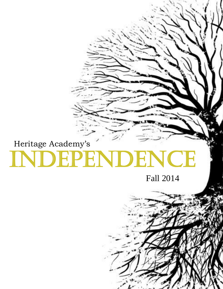# Independence Heritage Academy's

Fall 2014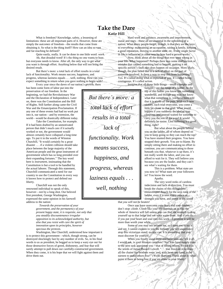## **Take the Dare**

**Katie Hill**

What is freedom? Knowledge, safety, a lessening of limitations: these are all important parts of it. However, these are simply the *outcomes* of freedom—the results that come from obtaining it. So what is the thing itself? How can an idea so vast and far-reaching be defined?

Quite easily, really. It can be done in one little word: *work.*

Ah, that dreaded word! It's the thing no one wants to hear, but everyone needs to know. After all, the only way to get what you want is through effort. Anything below that will not bring the desired result.

But there's more: a total lack of effort results in a total lack of functionality. Work means success, happiness, and progress, whereas laziness equals . . . well, nothing. How can you expect something in return when you gave nothing to begin with?

Every year since the dawn of our nation's growth, there

has been some form of labor put into the preservation of our freedom. In the beginning, we had the Revolutionary War and the Declaration of Independence. Later on, there was the Constitution and the Bill of Rights. Still farther along came the Civil War and the Emancipation Proclamation. If any one of these events had had no work put into it, our nation—and by extension, the world—would be drastically different today.

Take the Constitution, for example. If it had been drafted by an unmotivated person that didn't much care if it actually worked or not, the government would almost certainly have collapsed a long time ago. To put it in the words of Winston Churchill, "It would certainly be a great disaster . . . if a violent collision should take place between the large majority of the American people and the great instrument of government which has so long presided over their expanding fortunes." The key word here is *instrument*, insinuating that the Constitution is but a tool to be handled by the actual laborer. Through this statement, Churchill communicated a need for our country to use the Constitution in every way it knows how to protect and defend our liberty.

Churchill was not the only renowned individual to speak of this, however—not by a long shot. Our beloved first president, George Washington, expressed the same opinion in his farewell address to the nation:

> *Towards the preservation of your government, and the permanency of your present happy state, it is requisite, not only that you steadily discountenance irregular opposition to its acknowledged authority, but also that you resist with care the spirit of innovation upon its principles, however specious the pretexts.*

Washington, like Churchill, understood how important it is to protect this government—which, though strong, can be destroyed shockingly fast by any number of evils. So, in his final words to us as president, he begged us to keep a wary eye out for those destructive forces of greed, dishonesty, and fear that will surely attempt to pull down our carefully-constructed government. When they come, it is his hope that we will fight against them and drive them out.

Hard work and patience, awareness and improvement sweat and tears—these all are essential to the upholding of a nation. What many people forget, though, is that they are the keys to *everything*: maintaining an occupation, raising a family, keeping a good reputation, moving to another state, etc. Every single factor in life is influenced in some way by how hard a person works.

Now, think about all the things that ever went wrong in your life. What happened? Perhaps there was some malfunction or mistake that caused something bad to happen, making it no specific person's fault; this does happen on occasion. More likely, though, the plan failed due to a lack of effort on the part of someone involved. Is there a way to stop this from happening? Yes. It's called doing what is expected of you. It's called being courageous. It's called action.

Imagine that all those little things—small triumphs and failures—are the rungs of a ladder. At the

thing, right? *But there's more: a total lack of effort results in a total lack of functionality. Work means success, happiness, and progress, whereas* 

*laziness equals . . . well, nothing*

top of this ladder you know lies something wonderful, and though you may not know what that something is, you have been told that it is worth all the pain. With each new victory, each trial overcome, you come a little bit closer to that goal. What would happen if you suddenly decided to stop climbing, and instead waited for someone to carry you the rest of the way? It would definitely be easier. Less suffering is a good But what about the people behind

you on the ladder, all of whom depend on you to keep going so they can reach the top? You have stunted their progress. You have stopped their growth. You are to blame. By simply sitting there and making no effort to continue, you are communicating to those beneath you that, whatever is up there, it's not really worth the labor, and you can afford to wait for it. They will believe you because you are the leader, and they can't see what's waiting for them.

This is a problem. What state are you now in? What state are your followers in? You know the word.

Apathy.

The very word reeks of careless indecision and lack of direction. You must break the chains of this thoughtless enslavement! Reach for the next rung of the ladder, even if it uses every ounce of strength you have, and prove to the world

that *you will not be beaten!*

Once you have overcome your fears and your doubts, don't stop: climb. Climb like your life depends on it; like the whole of America will fall unless you can find the strength to drag yourself up to that ledge and see what waits there. And if you do if you put your heart and soul into this work—I promise it will be more than worth your while.

Some of you may not believe me, so I dare you to try it and see. I cannot explain to you the feelings you will experience atop this victorious stand; no one can. It is something that you must discover for yourself.

When you finally stand there and have seen and felt it all, I would ask, is your mission complete? No! You have simply risen to the next task appointed you—that of lifting others. To put it in the words of James Russell Lowell, ". . . true freedom is to share all the chains our brothers wear, and, with heart and hand, to be earnest to make others free!" (Wells-Barnett). Think about it: what point is there to being free if you are alone in your liberty?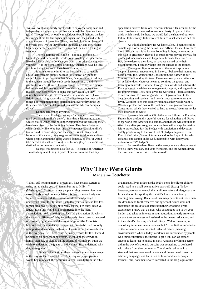You will want your family and friends to enjoy the same ease and independence that you yourself have attained. And how are they to get it? Through you, who now reach down to pull them up the last few rungs of the ladder, higher and higher until they stand with you at the peak of liberation. There, they behold the full beauty of the world they live in; they breathe the fresh air; and they realize how desperately they have secretly yearned for such a feeling as freedom.

There is nothing quite like it—not in all the books, technology, and riches in the world. Who would give up a chance like that? To be able to do what you want, trust others, and govern yourself—it is the highest state of living. Americans have no idea just how lucky they are to have been born into it.

It hurts me sometimes to see how others so carelessly abuse their freedom simply because "it's funny" or "nobody cares." I want to yell at them that *I* care, *I* can see what it's doing to them, even though they can't see it themselves . . . and it's painful to watch. I think of the way things used to be for America before we had this freedom, and I wonder if my country even realizes how close we are to being that way again. Do they remember what it was like to be under the jurisdiction of Great Britain and its king across the sea? Do they remember how bad things got when monopolies started taking over everything? Do they remember the hardships and pains of the African-American slaves?

Do they remember anything?

There is an old adage that says, "You never know how good you have it until it's gone"; I fear that is happening to the United States. Americans no longer comprehend the blessing they have been given by the Founding Fathers. They have forgotten what it's really like to be free, and they may not recall it until it's too late and freedom is beyond their reach. What then would become of this nation, once so great and wonderful, once a place where people around the globe wished someday to live? It would take decades at least to return it to its former glory—if ever it was destined to become as it once was.

George Washington also told us, "The name of American . . . must always exalt the just pride of patriotism more than any

appellation derived from local discriminations." This cannot be the case if we have not worked to earn our liberty. In place of that pride which should be there, we would feel the shame of our own failure: failure to try, failure to feel, failure to act when we had the chance.

As I think about how far we have fallen, I begin to realize something: If observing the nation is so difficult for me, how much more difficult must it be for our Founding Fathers, who set us on this path to greatness? They did so much for us, paving the way for prolonged independence and happiness, because they loved us. But, do we deserve their love, or have we earned only their disappointment? I can only hope that the answer is the former.

These great figures are some of the most inspirational people I have ever encountered in history. I believe their names are justly given: the *Father* of the Constitution, the *Father* of our Country, the Founding *Fathers*. These men really were fathers to us. A father does whatever he can to continue the growth and learning of his child; likewise, through their words and actions, the Founders gave us advice, encouragement, support, and suggestions for improvement. They have given us everything—from a country to call our own, to a working and efficient government, to their own devotion and service—and now it is our turn to return the favor. We must keep this country running as they would want it. We must protect and ensure the viability of our government and Constitution, which they worked so hard to create. We must not let their efforts go to waste.

Preserve this nation. Climb the ladder! Show the Founding Fathers how profoundly grateful you are for what they did. Prove to the world that America still stands, and that she will continue to stand long after you are gone because there will always be patriots left to protect her. Say the Pledge with conviction and devotion, boldly proclaiming to the world that "I pledge allegiance to the Flag of the United States of America and to the Republic for which it stands, one Nation under God, indivisible, with liberty and justice for all" ("Pledge").

So take the dare. Become the hero you were always meant to be. I know you can, and your friend can, and the woman down the street can—we all *can.* It's time we *do.*

#### **Why They Were Giants Madeleine Touchette**

"I Shall add nothing more at present as I have several Letters to write, but to desire you will remember me to Milly…" (Washington). In present times people writing between family or close friends would not end a letter this way, or more likely a text. In fact if someone did, their friend would be hard pressed to understand them. It is far more likely that you would read this less formal dialoged, "Hey say hi to Milly for me. I'm busy, catch ya latter." Even this would still be shortened into the many abbreviations used in texting, and lack the punctuation. So why is there such a difference? Why were the early Americans so centered on formality, grammar and the use of large words? Colonists believed that these skills were important tools to be used not only in important documents, such as our Constitution, but to each other in the everyday life. There could be many reasons for this. It could be blamed on our schooling system. It could be the growth in human laziness, or blamed on the advent of technology, but if we wish to understand the giants of old we must first understand why they were giants.

Since Colonial times there has been an extreme change in the way we teach our children. At a very early age, parents would begin to teach their children to read, usually from the bible

or almanacs. Even as late as the 1920's some intelligent children could read to a small extent at five years old (Isaac). Today however, parents who teach their children before kindergarten are frowned upon for spoiling their child's future education by teaching them wrong. Because of this many parents just leave their children to fend for themselves during school, which does not encourage the child to take interest in their schooling. From experience, I know that a parent who encourages you to try your hardest and takes an interest in your education, as early American parents took an interest and assisted in the general education, and in their child's choosing of a trade. Ralph Waldo Emerson, in describing American scholars states that "…the first in importance of the influences upon the mind is that of nature [meaning environment]." When a today's children are surrounded by people who think education is the means to get a job, can we expect anyone to learn just to know? In early America anything a person did in the way of scholarly pursuits was something to be shared with others from the community. Therefore it had to be in a standard that everyone would understand. In medieval times the scholarly language was Latin, but as fewer and fewer people learned Latin, documents were translated to the languages of the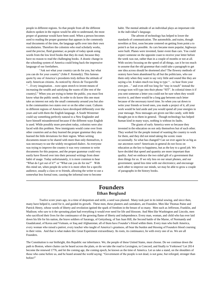people in different regions. So that people from all the different dialects spoken in the region would be able to understand, the most proper of grammar would have been used. When a person becomes used to reading the proper grammar that appears in the commonly read documents of the time, the language spills over into their own vocabularies. Therefore the colonists who read scholarly works, used the precise, fluid grammar; as people of today speak using words from the low level books that they do read, because they have no reason to read the challenging books. A drastic change in the schooling system of America could bring back the impressive language of our forefathers.

"Ask not what your country can do for you, but what you can do for your country" (John F. Kennedy). This famous quote by one of America's presidents truly defines the attitude of early American citizens. As noticed by Alexis de Tocqueville "…Every imagination…were upon stretch to invent means of increasing the wealth and satisfying the wants of [the rest of the country]." When you are trying to better the public, you must first know what the public needs. In order to do know this one must take an interest not only the small community around you but also in the communities two states over or on the other coast. Cultures in different regions of America have developed differently over the years and with them the English language. A South Westerner could say something perfectly natural to a New Englander and have himself misunderstood because if the different ways English is used. While possibly more prevalent today, colonists were also faced with this problem. New immigrants would come over from other countries and as they learned the proper grammar they also learned the little deviations for their region. When writing documents meant to be shared with more than only themselves, it was necessary to use the widely recognized dialect. As everyone was trying to improve the country it was very common to write documents for this purpose, and the proper grammar could very easily have flowed over into their personal writings from sheer habit of usage. Today unfortunately, it is more common to hear "What do I get out of it?" or "What can you do for me?" With this mind set, when people do write it is more often for a specific audience, usually a class or to friends, allowing the writer to use a somewhat less formal tone, causing the informal tone to become

habit. The mental attitude of an individual plays an important role in the individual's language.

The advent of technology has helped to lower the standards of communication. The automobile, and trains, though novelties at first, soon became centered on getting from point a to point b as fast as possible. As cars became more popular, highways were built. Planes were invented, faster event than cars. You could expect someone on the opposite coast to receive your letter before the week was out, rather than in a couple of months or not at all. With society focusing on the speed of all things, can it be too much to assume that the old grammar that could take a paragraph to get one idea across should be shortened also? The flowery methods of oratory have been abandoned by all but the politicians, who use them only when they want to say very little and sound like they are saying a lot. It takes much too long to type "…to hear from your own pen…" and even still too long for "stay in touch" instead the average teen will type into their phone "SIT". In colonial times it if you sent someone a letter you could not be sure when they would receive it, and there would be a long gap between each letter because of the necessary travel time. So when you sat down to write your friends or loved ones, you made a project of it, all your work would be laid aside and you would spend all your energies in your message. Now messages are given out like candy, with little thought put in to them in general. Though technology has helped human kind in many ways, nothing is without its faults.

The giants of early America were so because they invested in the education on not only themselves but of each other. They worked for the people instead of wanting the country to work for them, and they did not mind taking the scenic route occasionally. So what has changed? Can we ever again be as big as our ancestors were? Americans in general do not focus on education as the key to happiness, but as the key to a good job. We have decided that speed and quantity are more important than quality. And we embrace the two sided gift of a government that does things for us. If we rely less on our smart phones, and our government; spend less time with our electronics; and encourage each other to improve our minds, we may be able to grow a couple of paragraphs in the history books.

#### **Founders Ethan Berglund**

Twelve score years ago, in a time of despotism and strife, a seed was planted. Many took part in its initial sowing, and since then, many have helped it, cared for it, and guided its growth. These men, these planters and caretakers, are Founders. Men like Thomas Paine and Patrick Henry, whose words of liberty and revolution ignited the spark of freedom in the breast of so many. Men such as Jefferson, Franklin, and Madison; who saw to it the sprouting plant had everything it would ever need for life and blossom. And Men like Washington and Lincoln, men who sacrificed their lives for the continuance of the growing flame of liberty and independence. Every man, woman, and child who has ever laid down his life for his nation, the brave soldiers of Saratoga, of Gettysburg, of San Juan Hill, the Second battle of the Marne, of Normandy and Guadalcanal, of Korea and Vietnam, or Iraq and Afghanistan; all of them have Founder's blood within them. Every man who built America, every woman who raised a patriot, every teacher who taught of America's greatness, all bear the burden and blessing of Founders blood coursing in their veins. And that is what makes this Great Experiment extraordinary. Its roots, its continuance, lie with every one of us. We are all Founders.

The Constitution is our birthright, this Republic our inheritance. We, the people of these United States, must choose. Do we continue down the path to Boston, where chains can be heard across the plain, or do we take the road to Lexington, to Concord, and finally to Yorktown? Let 2014 become the renewed 1776, and let the coming age, the coming epoch, be known as the time of America. Let us take a stand, on the shoulders of those who came before us, and be heard around the world saying: "Government of the people is not dead, is not gone, but reforged, stronger than before!"